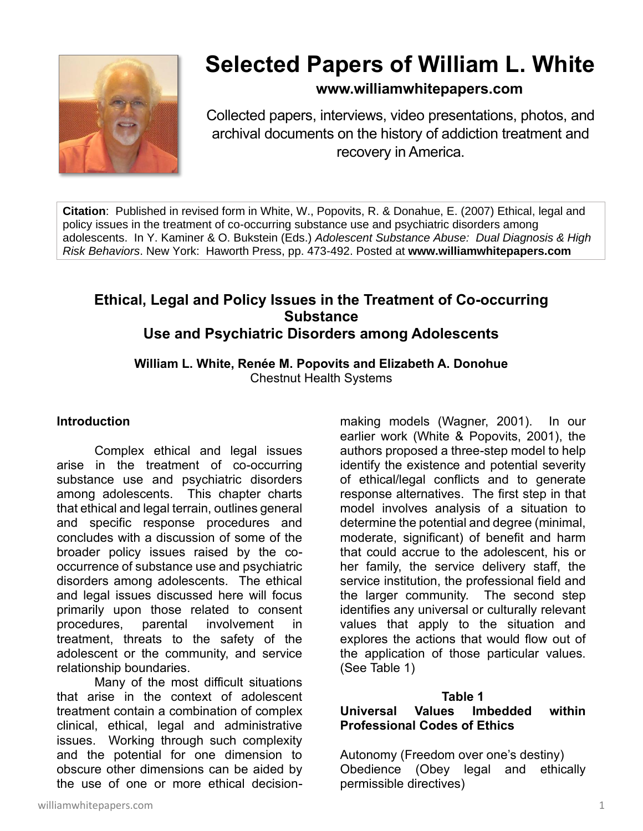

# **Selected Papers of William L. White**

# **www.williamwhitepapers.com**

Collected papers, interviews, video presentations, photos, and archival documents on the history of addiction treatment and recovery in America.

**Citation**: Published in revised form in White, W., Popovits, R. & Donahue, E. (2007) Ethical, legal and policy issues in the treatment of co-occurring substance use and psychiatric disorders among adolescents. In Y. Kaminer & O. Bukstein (Eds.) *Adolescent Substance Abuse: Dual Diagnosis & High Risk Behaviors*. New York: Haworth Press, pp. 473-492. Posted at **www.williamwhitepapers.com**

# **Ethical, Legal and Policy Issues in the Treatment of Co-occurring Substance Use and Psychiatric Disorders among Adolescents**

**William L. White, Renée M. Popovits and Elizabeth A. Donohue**  Chestnut Health Systems

#### **Introduction**

Complex ethical and legal issues arise in the treatment of co-occurring substance use and psychiatric disorders among adolescents. This chapter charts that ethical and legal terrain, outlines general and specific response procedures and concludes with a discussion of some of the broader policy issues raised by the cooccurrence of substance use and psychiatric disorders among adolescents. The ethical and legal issues discussed here will focus primarily upon those related to consent procedures, parental involvement in treatment, threats to the safety of the adolescent or the community, and service relationship boundaries.

Many of the most difficult situations that arise in the context of adolescent treatment contain a combination of complex clinical, ethical, legal and administrative issues. Working through such complexity and the potential for one dimension to obscure other dimensions can be aided by the use of one or more ethical decisionmaking models (Wagner, 2001). In our earlier work (White & Popovits, 2001), the authors proposed a three-step model to help identify the existence and potential severity of ethical/legal conflicts and to generate response alternatives. The first step in that model involves analysis of a situation to determine the potential and degree (minimal, moderate, significant) of benefit and harm that could accrue to the adolescent, his or her family, the service delivery staff, the service institution, the professional field and the larger community. The second step identifies any universal or culturally relevant values that apply to the situation and explores the actions that would flow out of the application of those particular values. (See Table 1)

#### **Table 1**<br>Values Im **Universal Values Imbedded within Professional Codes of Ethics**

Autonomy (Freedom over one's destiny) Obedience (Obey legal and ethically permissible directives)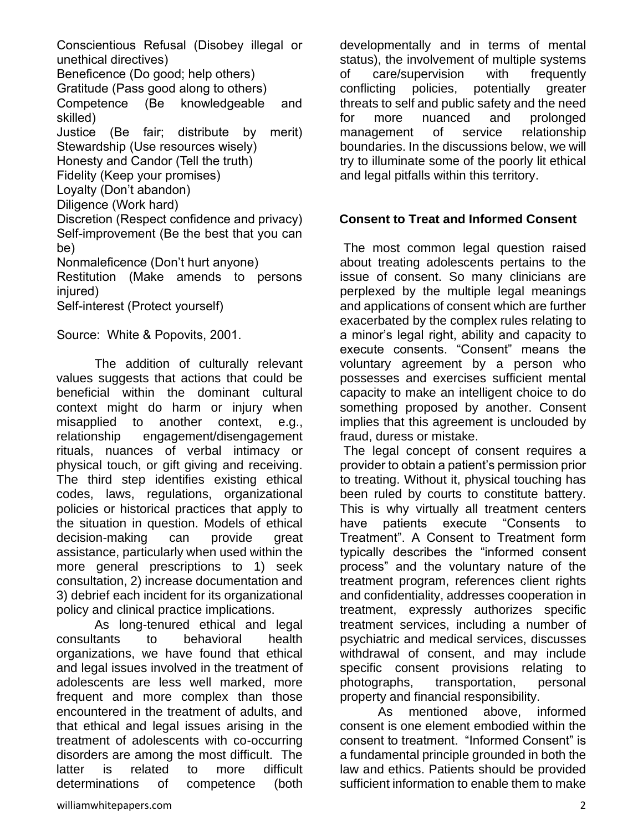Conscientious Refusal (Disobey illegal or unethical directives)

Beneficence (Do good; help others) Gratitude (Pass good along to others)

Competence (Be knowledgeable and skilled)

Justice (Be fair; distribute by merit) Stewardship (Use resources wisely)

Honesty and Candor (Tell the truth)

Fidelity (Keep your promises)

Loyalty (Don't abandon)

Diligence (Work hard)

Discretion (Respect confidence and privacy) Self-improvement (Be the best that you can be)

Nonmaleficence (Don't hurt anyone)

Restitution (Make amends to persons injured)

Self-interest (Protect yourself)

Source: White & Popovits, 2001.

The addition of culturally relevant values suggests that actions that could be beneficial within the dominant cultural context might do harm or injury when misapplied to another context, e.g., relationship engagement/disengagement rituals, nuances of verbal intimacy or physical touch, or gift giving and receiving. The third step identifies existing ethical codes, laws, regulations, organizational policies or historical practices that apply to the situation in question. Models of ethical decision-making can provide great assistance, particularly when used within the more general prescriptions to 1) seek consultation, 2) increase documentation and 3) debrief each incident for its organizational policy and clinical practice implications.

As long-tenured ethical and legal consultants to behavioral health organizations, we have found that ethical and legal issues involved in the treatment of adolescents are less well marked, more frequent and more complex than those encountered in the treatment of adults, and that ethical and legal issues arising in the treatment of adolescents with co-occurring disorders are among the most difficult. The latter is related to more difficult determinations of competence (both

developmentally and in terms of mental status), the involvement of multiple systems of care/supervision with frequently conflicting policies, potentially greater threats to self and public safety and the need for more nuanced and prolonged management of service relationship boundaries. In the discussions below, we will try to illuminate some of the poorly lit ethical and legal pitfalls within this territory.

# **Consent to Treat and Informed Consent**

The most common legal question raised about treating adolescents pertains to the issue of consent. So many clinicians are perplexed by the multiple legal meanings and applications of consent which are further exacerbated by the complex rules relating to a minor's legal right, ability and capacity to execute consents. "Consent" means the voluntary agreement by a person who possesses and exercises sufficient mental capacity to make an intelligent choice to do something proposed by another. Consent implies that this agreement is unclouded by fraud, duress or mistake.

The legal concept of consent requires a provider to obtain a patient's permission prior to treating. Without it, physical touching has been ruled by courts to constitute battery. This is why virtually all treatment centers have patients execute "Consents to Treatment". A Consent to Treatment form typically describes the "informed consent process" and the voluntary nature of the treatment program, references client rights and confidentiality, addresses cooperation in treatment, expressly authorizes specific treatment services, including a number of psychiatric and medical services, discusses withdrawal of consent, and may include specific consent provisions relating to photographs, transportation, personal property and financial responsibility.

As mentioned above, informed consent is one element embodied within the consent to treatment. "Informed Consent" is a fundamental principle grounded in both the law and ethics. Patients should be provided sufficient information to enable them to make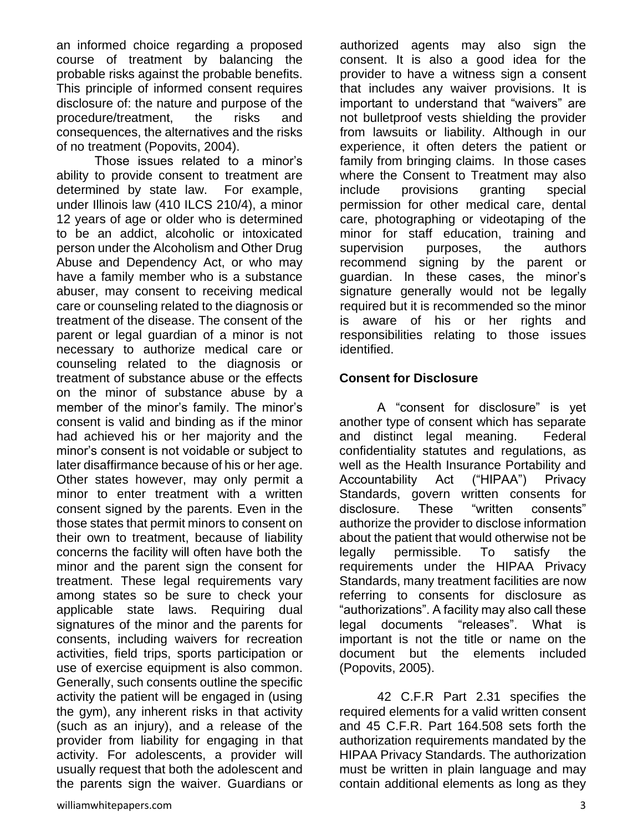an informed choice regarding a proposed course of treatment by balancing the probable risks against the probable benefits. This principle of informed consent requires disclosure of: the nature and purpose of the procedure/treatment, the risks and consequences, the alternatives and the risks of no treatment (Popovits, 2004).

Those issues related to a minor's ability to provide consent to treatment are determined by state law. For example, under Illinois law (410 ILCS 210/4), a minor 12 years of age or older who is determined to be an addict, alcoholic or intoxicated person under the Alcoholism and Other Drug Abuse and Dependency Act, or who may have a family member who is a substance abuser, may consent to receiving medical care or counseling related to the diagnosis or treatment of the disease. The consent of the parent or legal guardian of a minor is not necessary to authorize medical care or counseling related to the diagnosis or treatment of substance abuse or the effects on the minor of substance abuse by a member of the minor's family. The minor's consent is valid and binding as if the minor had achieved his or her majority and the minor's consent is not voidable or subject to later disaffirmance because of his or her age. Other states however, may only permit a minor to enter treatment with a written consent signed by the parents. Even in the those states that permit minors to consent on their own to treatment, because of liability concerns the facility will often have both the minor and the parent sign the consent for treatment. These legal requirements vary among states so be sure to check your applicable state laws. Requiring dual signatures of the minor and the parents for consents, including waivers for recreation activities, field trips, sports participation or use of exercise equipment is also common. Generally, such consents outline the specific activity the patient will be engaged in (using the gym), any inherent risks in that activity (such as an injury), and a release of the provider from liability for engaging in that activity. For adolescents, a provider will usually request that both the adolescent and the parents sign the waiver. Guardians or

authorized agents may also sign the consent. It is also a good idea for the provider to have a witness sign a consent that includes any waiver provisions. It is important to understand that "waivers" are not bulletproof vests shielding the provider from lawsuits or liability. Although in our experience, it often deters the patient or family from bringing claims. In those cases where the Consent to Treatment may also include provisions granting special permission for other medical care, dental care, photographing or videotaping of the minor for staff education, training and supervision purposes, the authors recommend signing by the parent or guardian. In these cases, the minor's signature generally would not be legally required but it is recommended so the minor is aware of his or her rights and responsibilities relating to those issues identified.

#### **Consent for Disclosure**

A "consent for disclosure" is yet another type of consent which has separate and distinct legal meaning. Federal confidentiality statutes and regulations, as well as the Health Insurance Portability and Accountability Act ("HIPAA") Privacy Standards, govern written consents for disclosure. These "written consents" authorize the provider to disclose information about the patient that would otherwise not be legally permissible. To satisfy the requirements under the HIPAA Privacy Standards, many treatment facilities are now referring to consents for disclosure as "authorizations". A facility may also call these legal documents "releases". What is important is not the title or name on the document but the elements included (Popovits, 2005).

42 C.F.R Part 2.31 specifies the required elements for a valid written consent and 45 C.F.R. Part 164.508 sets forth the authorization requirements mandated by the HIPAA Privacy Standards. The authorization must be written in plain language and may contain additional elements as long as they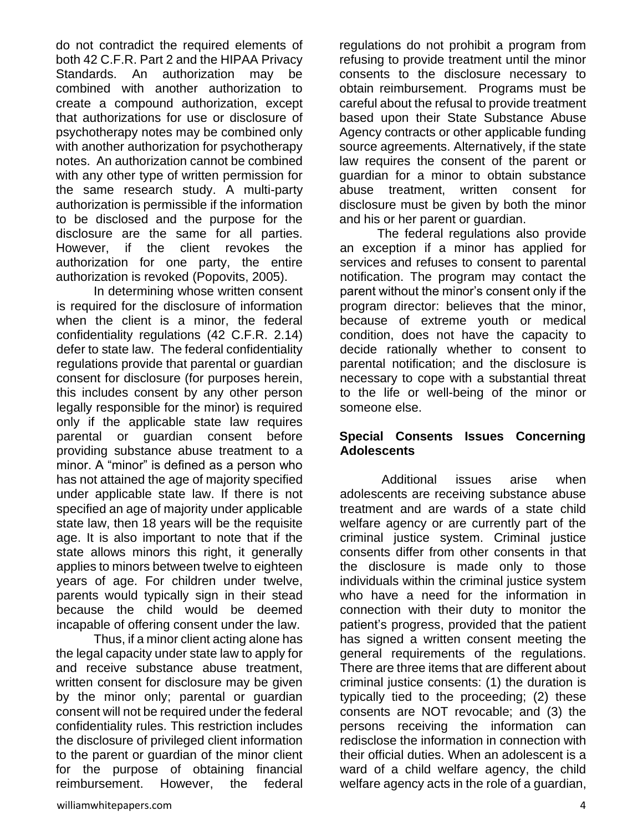do not contradict the required elements of both 42 C.F.R. Part 2 and the HIPAA Privacy Standards. An authorization may be combined with another authorization to create a compound authorization, except that authorizations for use or disclosure of psychotherapy notes may be combined only with another authorization for psychotherapy notes. An authorization cannot be combined with any other type of written permission for the same research study. A multi-party authorization is permissible if the information to be disclosed and the purpose for the disclosure are the same for all parties. However, if the client revokes the authorization for one party, the entire authorization is revoked (Popovits, 2005).

In determining whose written consent is required for the disclosure of information when the client is a minor, the federal confidentiality regulations (42 C.F.R. 2.14) defer to state law. The federal confidentiality regulations provide that parental or guardian consent for disclosure (for purposes herein, this includes consent by any other person legally responsible for the minor) is required only if the applicable state law requires parental or guardian consent before providing substance abuse treatment to a minor. A "minor" is defined as a person who has not attained the age of majority specified under applicable state law. If there is not specified an age of majority under applicable state law, then 18 years will be the requisite age. It is also important to note that if the state allows minors this right, it generally applies to minors between twelve to eighteen years of age. For children under twelve, parents would typically sign in their stead because the child would be deemed incapable of offering consent under the law.

Thus, if a minor client acting alone has the legal capacity under state law to apply for and receive substance abuse treatment, written consent for disclosure may be given by the minor only; parental or guardian consent will not be required under the federal confidentiality rules. This restriction includes the disclosure of privileged client information to the parent or guardian of the minor client for the purpose of obtaining financial reimbursement. However, the federal

regulations do not prohibit a program from refusing to provide treatment until the minor consents to the disclosure necessary to obtain reimbursement. Programs must be careful about the refusal to provide treatment based upon their State Substance Abuse Agency contracts or other applicable funding source agreements. Alternatively, if the state law requires the consent of the parent or guardian for a minor to obtain substance abuse treatment, written consent for disclosure must be given by both the minor and his or her parent or guardian.

The federal regulations also provide an exception if a minor has applied for services and refuses to consent to parental notification. The program may contact the parent without the minor's consent only if the program director: believes that the minor, because of extreme youth or medical condition, does not have the capacity to decide rationally whether to consent to parental notification; and the disclosure is necessary to cope with a substantial threat to the life or well-being of the minor or someone else.

#### **Special Consents Issues Concerning Adolescents**

Additional issues arise when adolescents are receiving substance abuse treatment and are wards of a state child welfare agency or are currently part of the criminal justice system. Criminal justice consents differ from other consents in that the disclosure is made only to those individuals within the criminal justice system who have a need for the information in connection with their duty to monitor the patient's progress, provided that the patient has signed a written consent meeting the general requirements of the regulations. There are three items that are different about criminal justice consents: (1) the duration is typically tied to the proceeding; (2) these consents are NOT revocable; and (3) the persons receiving the information can redisclose the information in connection with their official duties. When an adolescent is a ward of a child welfare agency, the child welfare agency acts in the role of a guardian,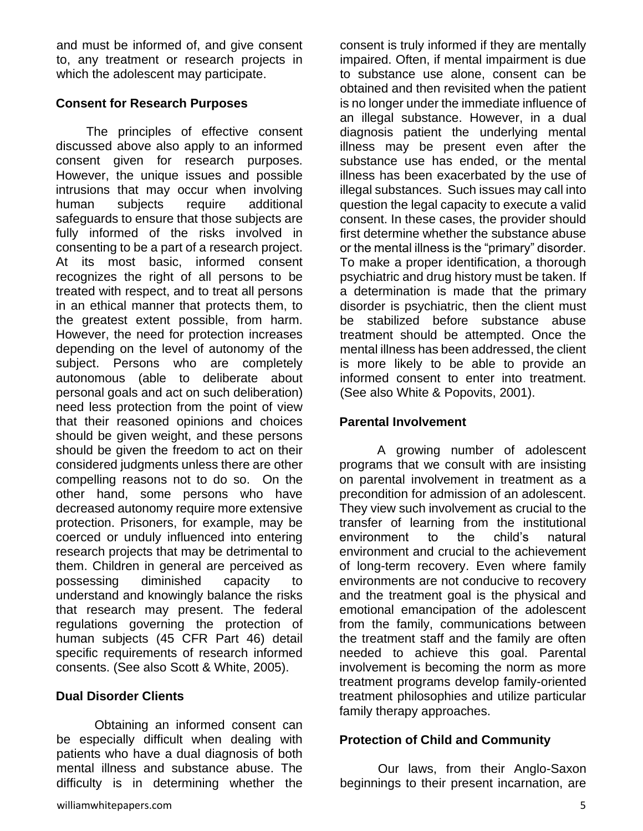and must be informed of, and give consent to, any treatment or research projects in which the adolescent may participate.

#### **Consent for Research Purposes**

The principles of effective consent discussed above also apply to an informed consent given for research purposes. However, the unique issues and possible intrusions that may occur when involving human subjects require additional safeguards to ensure that those subjects are fully informed of the risks involved in consenting to be a part of a research project. At its most basic, informed consent recognizes the right of all persons to be treated with respect, and to treat all persons in an ethical manner that protects them, to the greatest extent possible, from harm. However, the need for protection increases depending on the level of autonomy of the subject. Persons who are completely autonomous (able to deliberate about personal goals and act on such deliberation) need less protection from the point of view that their reasoned opinions and choices should be given weight, and these persons should be given the freedom to act on their considered judgments unless there are other compelling reasons not to do so. On the other hand, some persons who have decreased autonomy require more extensive protection. Prisoners, for example, may be coerced or unduly influenced into entering research projects that may be detrimental to them. Children in general are perceived as possessing diminished capacity to understand and knowingly balance the risks that research may present. The federal regulations governing the protection of human subjects (45 CFR Part 46) detail specific requirements of research informed consents. (See also Scott & White, 2005).

#### **Dual Disorder Clients**

Obtaining an informed consent can be especially difficult when dealing with patients who have a dual diagnosis of both mental illness and substance abuse. The difficulty is in determining whether the

consent is truly informed if they are mentally impaired. Often, if mental impairment is due to substance use alone, consent can be obtained and then revisited when the patient is no longer under the immediate influence of an illegal substance. However, in a dual diagnosis patient the underlying mental illness may be present even after the substance use has ended, or the mental illness has been exacerbated by the use of illegal substances. Such issues may call into question the legal capacity to execute a valid consent. In these cases, the provider should first determine whether the substance abuse or the mental illness is the "primary" disorder. To make a proper identification, a thorough psychiatric and drug history must be taken. If a determination is made that the primary disorder is psychiatric, then the client must be stabilized before substance abuse treatment should be attempted. Once the mental illness has been addressed, the client is more likely to be able to provide an informed consent to enter into treatment. (See also White & Popovits, 2001).

#### **Parental Involvement**

A growing number of adolescent programs that we consult with are insisting on parental involvement in treatment as a precondition for admission of an adolescent. They view such involvement as crucial to the transfer of learning from the institutional environment to the child's natural environment and crucial to the achievement of long-term recovery. Even where family environments are not conducive to recovery and the treatment goal is the physical and emotional emancipation of the adolescent from the family, communications between the treatment staff and the family are often needed to achieve this goal. Parental involvement is becoming the norm as more treatment programs develop family-oriented treatment philosophies and utilize particular family therapy approaches.

#### **Protection of Child and Community**

Our laws, from their Anglo-Saxon beginnings to their present incarnation, are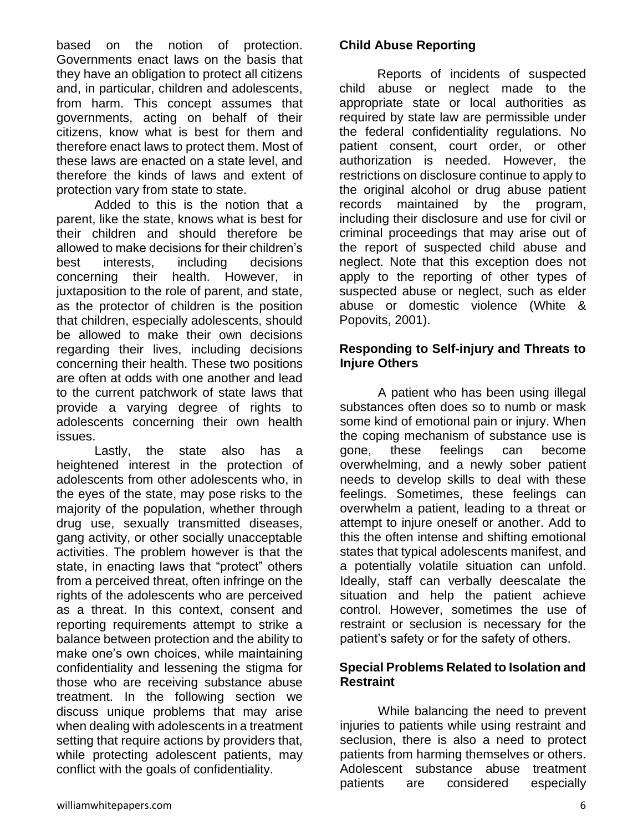based on the notion of protection. Governments enact laws on the basis that they have an obligation to protect all citizens and, in particular, children and adolescents, from harm. This concept assumes that governments, acting on behalf of their citizens, know what is best for them and therefore enact laws to protect them. Most of these laws are enacted on a state level, and therefore the kinds of laws and extent of protection vary from state to state.

Added to this is the notion that a parent, like the state, knows what is best for their children and should therefore be allowed to make decisions for their children's best interests, including decisions concerning their health. However, in juxtaposition to the role of parent, and state, as the protector of children is the position that children, especially adolescents, should be allowed to make their own decisions regarding their lives, including decisions concerning their health. These two positions are often at odds with one another and lead to the current patchwork of state laws that provide a varying degree of rights to adolescents concerning their own health issues.

Lastly, the state also has a heightened interest in the protection of adolescents from other adolescents who, in the eyes of the state, may pose risks to the majority of the population, whether through drug use, sexually transmitted diseases, gang activity, or other socially unacceptable activities. The problem however is that the state, in enacting laws that "protect" others from a perceived threat, often infringe on the rights of the adolescents who are perceived as a threat. In this context, consent and reporting requirements attempt to strike a balance between protection and the ability to make one's own choices, while maintaining confidentiality and lessening the stigma for those who are receiving substance abuse treatment. In the following section we discuss unique problems that may arise when dealing with adolescents in a treatment setting that require actions by providers that, while protecting adolescent patients, may conflict with the goals of confidentiality.

# **Child Abuse Reporting**

Reports of incidents of suspected child abuse or neglect made to the appropriate state or local authorities as required by state law are permissible under the federal confidentiality regulations. No patient consent, court order, or other authorization is needed. However, the restrictions on disclosure continue to apply to the original alcohol or drug abuse patient records maintained by the program, including their disclosure and use for civil or criminal proceedings that may arise out of the report of suspected child abuse and neglect. Note that this exception does not apply to the reporting of other types of suspected abuse or neglect, such as elder abuse or domestic violence (White & Popovits, 2001).

#### **Responding to Self-injury and Threats to Injure Others**

A patient who has been using illegal substances often does so to numb or mask some kind of emotional pain or injury. When the coping mechanism of substance use is gone, these feelings can become overwhelming, and a newly sober patient needs to develop skills to deal with these feelings. Sometimes, these feelings can overwhelm a patient, leading to a threat or attempt to injure oneself or another. Add to this the often intense and shifting emotional states that typical adolescents manifest, and a potentially volatile situation can unfold. Ideally, staff can verbally deescalate the situation and help the patient achieve control. However, sometimes the use of restraint or seclusion is necessary for the patient's safety or for the safety of others.

#### **Special Problems Related to Isolation and Restraint**

While balancing the need to prevent injuries to patients while using restraint and seclusion, there is also a need to protect patients from harming themselves or others. Adolescent substance abuse treatment patients are considered especially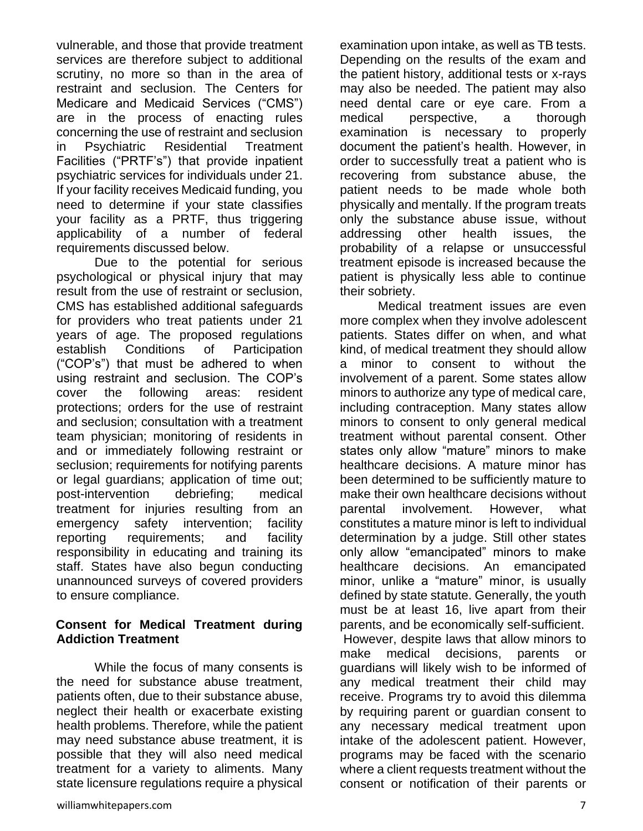vulnerable, and those that provide treatment services are therefore subject to additional scrutiny, no more so than in the area of restraint and seclusion. The Centers for Medicare and Medicaid Services ("CMS") are in the process of enacting rules concerning the use of restraint and seclusion in Psychiatric Residential Treatment Facilities ("PRTF's") that provide inpatient psychiatric services for individuals under 21. If your facility receives Medicaid funding, you need to determine if your state classifies your facility as a PRTF, thus triggering applicability of a number of federal requirements discussed below.

Due to the potential for serious psychological or physical injury that may result from the use of restraint or seclusion, CMS has established additional safeguards for providers who treat patients under 21 years of age. The proposed regulations establish Conditions of Participation ("COP's") that must be adhered to when using restraint and seclusion. The COP's cover the following areas: resident protections; orders for the use of restraint and seclusion; consultation with a treatment team physician; monitoring of residents in and or immediately following restraint or seclusion; requirements for notifying parents or legal guardians; application of time out; post-intervention debriefing; medical treatment for injuries resulting from an emergency safety intervention; facility reporting requirements; and facility responsibility in educating and training its staff. States have also begun conducting unannounced surveys of covered providers to ensure compliance.

#### **Consent for Medical Treatment during Addiction Treatment**

While the focus of many consents is the need for substance abuse treatment, patients often, due to their substance abuse, neglect their health or exacerbate existing health problems. Therefore, while the patient may need substance abuse treatment, it is possible that they will also need medical treatment for a variety to aliments. Many state licensure regulations require a physical

examination upon intake, as well as TB tests. Depending on the results of the exam and the patient history, additional tests or x-rays may also be needed. The patient may also need dental care or eye care. From a medical perspective, a thorough examination is necessary to properly document the patient's health. However, in order to successfully treat a patient who is recovering from substance abuse, the patient needs to be made whole both physically and mentally. If the program treats only the substance abuse issue, without addressing other health issues, the probability of a relapse or unsuccessful treatment episode is increased because the patient is physically less able to continue their sobriety.

Medical treatment issues are even more complex when they involve adolescent patients. States differ on when, and what kind, of medical treatment they should allow a minor to consent to without the involvement of a parent. Some states allow minors to authorize any type of medical care, including contraception. Many states allow minors to consent to only general medical treatment without parental consent. Other states only allow "mature" minors to make healthcare decisions. A mature minor has been determined to be sufficiently mature to make their own healthcare decisions without parental involvement. However, what constitutes a mature minor is left to individual determination by a judge. Still other states only allow "emancipated" minors to make healthcare decisions. An emancipated minor, unlike a "mature" minor, is usually defined by state statute. Generally, the youth must be at least 16, live apart from their parents, and be economically self-sufficient. However, despite laws that allow minors to make medical decisions, parents or guardians will likely wish to be informed of any medical treatment their child may receive. Programs try to avoid this dilemma by requiring parent or guardian consent to any necessary medical treatment upon intake of the adolescent patient. However, programs may be faced with the scenario where a client requests treatment without the consent or notification of their parents or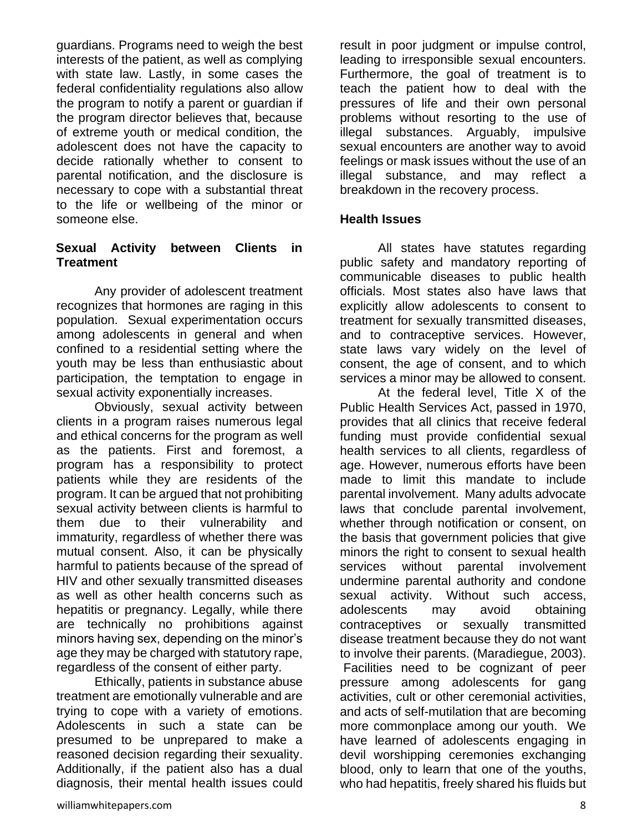guardians. Programs need to weigh the best interests of the patient, as well as complying with state law. Lastly, in some cases the federal confidentiality regulations also allow the program to notify a parent or guardian if the program director believes that, because of extreme youth or medical condition, the adolescent does not have the capacity to decide rationally whether to consent to parental notification, and the disclosure is necessary to cope with a substantial threat to the life or wellbeing of the minor or someone else.

#### **Sexual Activity between Clients in Treatment**

Any provider of adolescent treatment recognizes that hormones are raging in this population. Sexual experimentation occurs among adolescents in general and when confined to a residential setting where the youth may be less than enthusiastic about participation, the temptation to engage in sexual activity exponentially increases.

Obviously, sexual activity between clients in a program raises numerous legal and ethical concerns for the program as well as the patients. First and foremost, a program has a responsibility to protect patients while they are residents of the program. It can be argued that not prohibiting sexual activity between clients is harmful to them due to their vulnerability and immaturity, regardless of whether there was mutual consent. Also, it can be physically harmful to patients because of the spread of HIV and other sexually transmitted diseases as well as other health concerns such as hepatitis or pregnancy. Legally, while there are technically no prohibitions against minors having sex, depending on the minor's age they may be charged with statutory rape, regardless of the consent of either party.

Ethically, patients in substance abuse treatment are emotionally vulnerable and are trying to cope with a variety of emotions. Adolescents in such a state can be presumed to be unprepared to make a reasoned decision regarding their sexuality. Additionally, if the patient also has a dual diagnosis, their mental health issues could

result in poor judgment or impulse control, leading to irresponsible sexual encounters. Furthermore, the goal of treatment is to teach the patient how to deal with the pressures of life and their own personal problems without resorting to the use of illegal substances. Arguably, impulsive sexual encounters are another way to avoid feelings or mask issues without the use of an illegal substance, and may reflect a breakdown in the recovery process.

#### **Health Issues**

All states have statutes regarding public safety and mandatory reporting of communicable diseases to public health officials. Most states also have laws that explicitly allow adolescents to consent to treatment for sexually transmitted diseases, and to contraceptive services. However, state laws vary widely on the level of consent, the age of consent, and to which services a minor may be allowed to consent.

At the federal level, Title X of the Public Health Services Act, passed in 1970, provides that all clinics that receive federal funding must provide confidential sexual health services to all clients, regardless of age. However, numerous efforts have been made to limit this mandate to include parental involvement. Many adults advocate laws that conclude parental involvement, whether through notification or consent, on the basis that government policies that give minors the right to consent to sexual health services without parental involvement undermine parental authority and condone sexual activity. Without such access, adolescents may avoid obtaining contraceptives or sexually transmitted disease treatment because they do not want to involve their parents. (Maradiegue, 2003). Facilities need to be cognizant of peer pressure among adolescents for gang activities, cult or other ceremonial activities, and acts of self-mutilation that are becoming more commonplace among our youth. We have learned of adolescents engaging in devil worshipping ceremonies exchanging blood, only to learn that one of the youths, who had hepatitis, freely shared his fluids but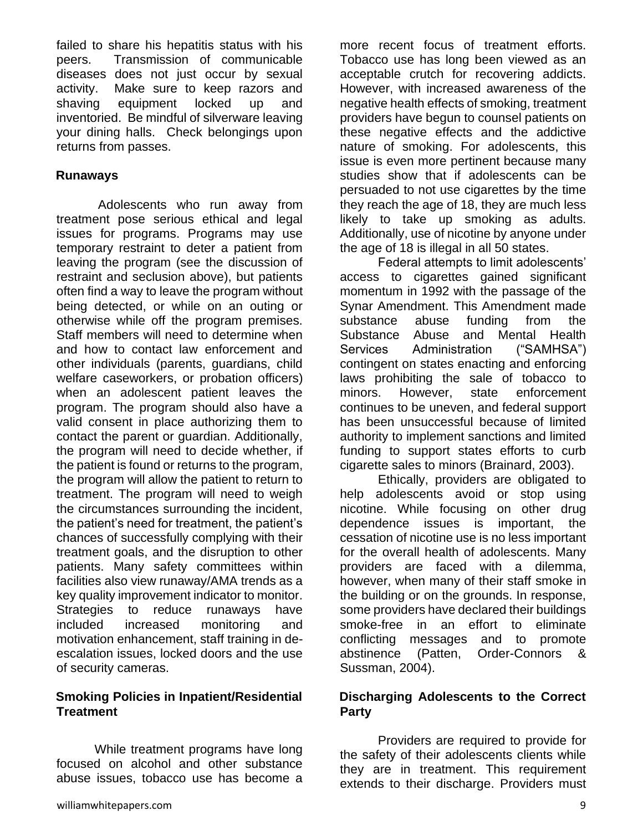failed to share his hepatitis status with his peers. Transmission of communicable diseases does not just occur by sexual activity. Make sure to keep razors and shaving equipment locked up and inventoried. Be mindful of silverware leaving your dining halls. Check belongings upon returns from passes.

#### **Runaways**

Adolescents who run away from treatment pose serious ethical and legal issues for programs. Programs may use temporary restraint to deter a patient from leaving the program (see the discussion of restraint and seclusion above), but patients often find a way to leave the program without being detected, or while on an outing or otherwise while off the program premises. Staff members will need to determine when and how to contact law enforcement and other individuals (parents, guardians, child welfare caseworkers, or probation officers) when an adolescent patient leaves the program. The program should also have a valid consent in place authorizing them to contact the parent or guardian. Additionally, the program will need to decide whether, if the patient is found or returns to the program, the program will allow the patient to return to treatment. The program will need to weigh the circumstances surrounding the incident, the patient's need for treatment, the patient's chances of successfully complying with their treatment goals, and the disruption to other patients. Many safety committees within facilities also view runaway/AMA trends as a key quality improvement indicator to monitor. Strategies to reduce runaways have included increased monitoring and motivation enhancement, staff training in deescalation issues, locked doors and the use of security cameras.

#### **Smoking Policies in Inpatient/Residential Treatment**

While treatment programs have long focused on alcohol and other substance abuse issues, tobacco use has become a

more recent focus of treatment efforts. Tobacco use has long been viewed as an acceptable crutch for recovering addicts. However, with increased awareness of the negative health effects of smoking, treatment providers have begun to counsel patients on these negative effects and the addictive nature of smoking. For adolescents, this issue is even more pertinent because many studies show that if adolescents can be persuaded to not use cigarettes by the time they reach the age of 18, they are much less likely to take up smoking as adults. Additionally, use of nicotine by anyone under the age of 18 is illegal in all 50 states.

Federal attempts to limit adolescents' access to cigarettes gained significant momentum in 1992 with the passage of the Synar Amendment. This Amendment made substance abuse funding from the Substance Abuse and Mental Health Services Administration ("SAMHSA") contingent on states enacting and enforcing laws prohibiting the sale of tobacco to minors. However, state enforcement continues to be uneven, and federal support has been unsuccessful because of limited authority to implement sanctions and limited funding to support states efforts to curb cigarette sales to minors (Brainard, 2003).

Ethically, providers are obligated to help adolescents avoid or stop using nicotine. While focusing on other drug dependence issues is important, the cessation of nicotine use is no less important for the overall health of adolescents. Many providers are faced with a dilemma, however, when many of their staff smoke in the building or on the grounds. In response, some providers have declared their buildings smoke-free in an effort to eliminate conflicting messages and to promote abstinence (Patten, Order-Connors & Sussman, 2004).

#### **Discharging Adolescents to the Correct Party**

Providers are required to provide for the safety of their adolescents clients while they are in treatment. This requirement extends to their discharge. Providers must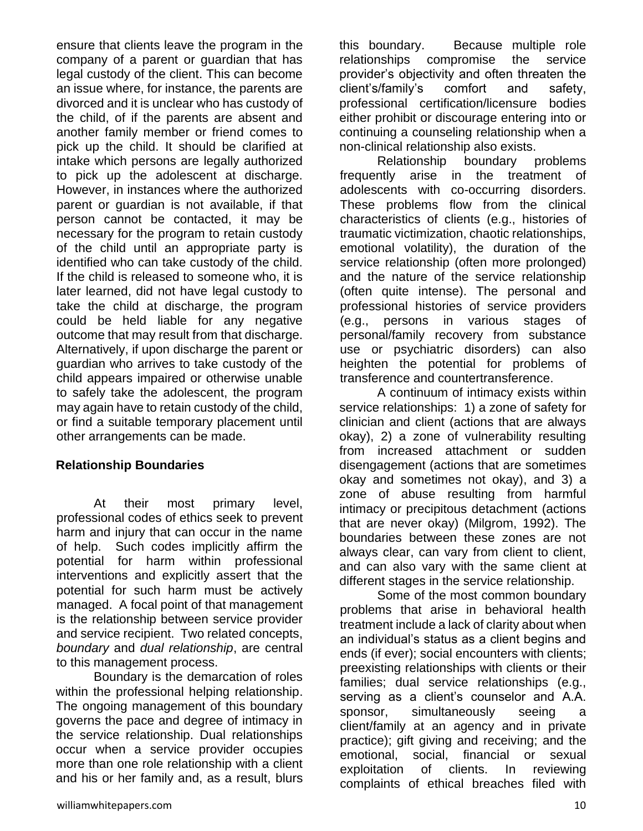ensure that clients leave the program in the company of a parent or guardian that has legal custody of the client. This can become an issue where, for instance, the parents are divorced and it is unclear who has custody of the child, of if the parents are absent and another family member or friend comes to pick up the child. It should be clarified at intake which persons are legally authorized to pick up the adolescent at discharge. However, in instances where the authorized parent or guardian is not available, if that person cannot be contacted, it may be necessary for the program to retain custody of the child until an appropriate party is identified who can take custody of the child. If the child is released to someone who, it is later learned, did not have legal custody to take the child at discharge, the program could be held liable for any negative outcome that may result from that discharge. Alternatively, if upon discharge the parent or guardian who arrives to take custody of the child appears impaired or otherwise unable to safely take the adolescent, the program may again have to retain custody of the child, or find a suitable temporary placement until other arrangements can be made.

#### **Relationship Boundaries**

At their most primary level, professional codes of ethics seek to prevent harm and injury that can occur in the name of help. Such codes implicitly affirm the potential for harm within professional interventions and explicitly assert that the potential for such harm must be actively managed. A focal point of that management is the relationship between service provider and service recipient. Two related concepts, *boundary* and *dual relationship*, are central to this management process.

Boundary is the demarcation of roles within the professional helping relationship. The ongoing management of this boundary governs the pace and degree of intimacy in the service relationship. Dual relationships occur when a service provider occupies more than one role relationship with a client and his or her family and, as a result, blurs

this boundary. Because multiple role relationships compromise the service provider's objectivity and often threaten the client's/family's comfort and safety, professional certification/licensure bodies either prohibit or discourage entering into or continuing a counseling relationship when a non-clinical relationship also exists.

Relationship boundary problems frequently arise in the treatment of adolescents with co-occurring disorders. These problems flow from the clinical characteristics of clients (e.g., histories of traumatic victimization, chaotic relationships, emotional volatility), the duration of the service relationship (often more prolonged) and the nature of the service relationship (often quite intense). The personal and professional histories of service providers (e.g., persons in various stages of personal/family recovery from substance use or psychiatric disorders) can also heighten the potential for problems of transference and countertransference.

A continuum of intimacy exists within service relationships: 1) a zone of safety for clinician and client (actions that are always okay), 2) a zone of vulnerability resulting from increased attachment or sudden disengagement (actions that are sometimes okay and sometimes not okay), and 3) a zone of abuse resulting from harmful intimacy or precipitous detachment (actions that are never okay) (Milgrom, 1992). The boundaries between these zones are not always clear, can vary from client to client, and can also vary with the same client at different stages in the service relationship.

Some of the most common boundary problems that arise in behavioral health treatment include a lack of clarity about when an individual's status as a client begins and ends (if ever); social encounters with clients; preexisting relationships with clients or their families; dual service relationships (e.g., serving as a client's counselor and A.A. sponsor, simultaneously seeing a client/family at an agency and in private practice); gift giving and receiving; and the emotional, social, financial or sexual exploitation of clients. In reviewing complaints of ethical breaches filed with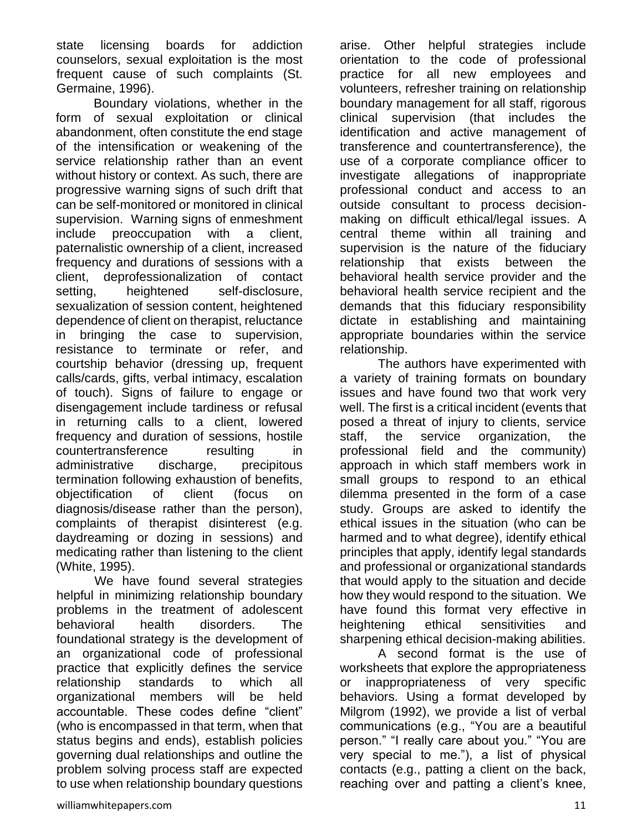state licensing boards for addiction counselors, sexual exploitation is the most frequent cause of such complaints (St. Germaine, 1996).

Boundary violations, whether in the form of sexual exploitation or clinical abandonment, often constitute the end stage of the intensification or weakening of the service relationship rather than an event without history or context. As such, there are progressive warning signs of such drift that can be self-monitored or monitored in clinical supervision. Warning signs of enmeshment include preoccupation with a client, paternalistic ownership of a client, increased frequency and durations of sessions with a client, deprofessionalization of contact setting, heightened self-disclosure, sexualization of session content, heightened dependence of client on therapist, reluctance in bringing the case to supervision, resistance to terminate or refer, and courtship behavior (dressing up, frequent calls/cards, gifts, verbal intimacy, escalation of touch). Signs of failure to engage or disengagement include tardiness or refusal in returning calls to a client, lowered frequency and duration of sessions, hostile countertransference resulting in administrative discharge, precipitous termination following exhaustion of benefits, objectification of client (focus on diagnosis/disease rather than the person), complaints of therapist disinterest (e.g. daydreaming or dozing in sessions) and medicating rather than listening to the client (White, 1995).

We have found several strategies helpful in minimizing relationship boundary problems in the treatment of adolescent behavioral health disorders. The foundational strategy is the development of an organizational code of professional practice that explicitly defines the service relationship standards to which all organizational members will be held accountable. These codes define "client" (who is encompassed in that term, when that status begins and ends), establish policies governing dual relationships and outline the problem solving process staff are expected to use when relationship boundary questions arise. Other helpful strategies include orientation to the code of professional practice for all new employees and volunteers, refresher training on relationship boundary management for all staff, rigorous clinical supervision (that includes the identification and active management of transference and countertransference), the use of a corporate compliance officer to investigate allegations of inappropriate professional conduct and access to an outside consultant to process decisionmaking on difficult ethical/legal issues. A central theme within all training and supervision is the nature of the fiduciary relationship that exists between the behavioral health service provider and the behavioral health service recipient and the demands that this fiduciary responsibility dictate in establishing and maintaining appropriate boundaries within the service relationship.

The authors have experimented with a variety of training formats on boundary issues and have found two that work very well. The first is a critical incident (events that posed a threat of injury to clients, service staff, the service organization, the professional field and the community) approach in which staff members work in small groups to respond to an ethical dilemma presented in the form of a case study. Groups are asked to identify the ethical issues in the situation (who can be harmed and to what degree), identify ethical principles that apply, identify legal standards and professional or organizational standards that would apply to the situation and decide how they would respond to the situation. We have found this format very effective in heightening ethical sensitivities and sharpening ethical decision-making abilities.

A second format is the use of worksheets that explore the appropriateness or inappropriateness of very specific behaviors. Using a format developed by Milgrom (1992), we provide a list of verbal communications (e.g., "You are a beautiful person." "I really care about you." "You are very special to me."), a list of physical contacts (e.g., patting a client on the back, reaching over and patting a client's knee,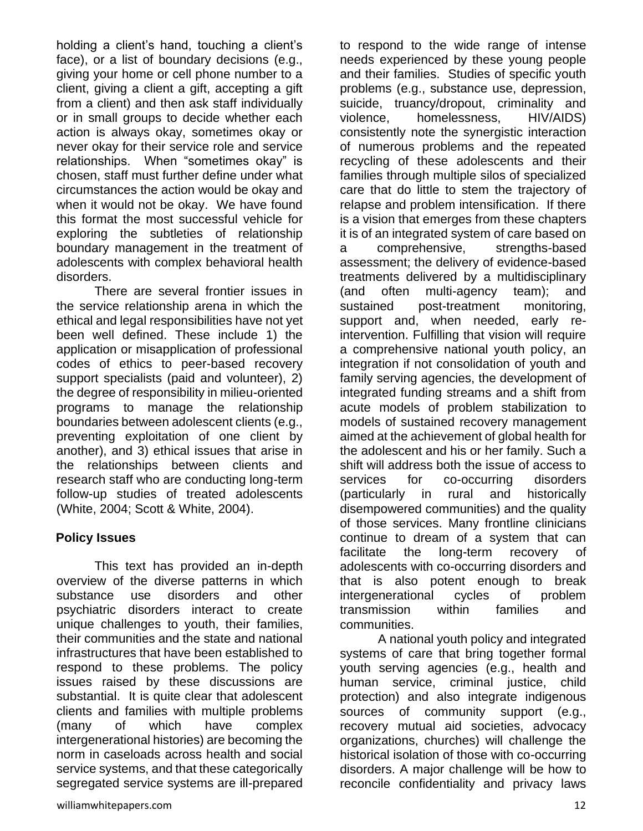holding a client's hand, touching a client's face), or a list of boundary decisions (e.g., giving your home or cell phone number to a client, giving a client a gift, accepting a gift from a client) and then ask staff individually or in small groups to decide whether each action is always okay, sometimes okay or never okay for their service role and service relationships. When "sometimes okay" is chosen, staff must further define under what circumstances the action would be okay and when it would not be okay. We have found this format the most successful vehicle for exploring the subtleties of relationship boundary management in the treatment of adolescents with complex behavioral health disorders.

There are several frontier issues in the service relationship arena in which the ethical and legal responsibilities have not yet been well defined. These include 1) the application or misapplication of professional codes of ethics to peer-based recovery support specialists (paid and volunteer), 2) the degree of responsibility in milieu-oriented programs to manage the relationship boundaries between adolescent clients (e.g., preventing exploitation of one client by another), and 3) ethical issues that arise in the relationships between clients and research staff who are conducting long-term follow-up studies of treated adolescents (White, 2004; Scott & White, 2004).

#### **Policy Issues**

This text has provided an in-depth overview of the diverse patterns in which substance use disorders and other psychiatric disorders interact to create unique challenges to youth, their families, their communities and the state and national infrastructures that have been established to respond to these problems. The policy issues raised by these discussions are substantial. It is quite clear that adolescent clients and families with multiple problems (many of which have complex intergenerational histories) are becoming the norm in caseloads across health and social service systems, and that these categorically segregated service systems are ill-prepared

to respond to the wide range of intense needs experienced by these young people and their families. Studies of specific youth problems (e.g., substance use, depression, suicide, truancy/dropout, criminality and violence, homelessness, HIV/AIDS) consistently note the synergistic interaction of numerous problems and the repeated recycling of these adolescents and their families through multiple silos of specialized care that do little to stem the trajectory of relapse and problem intensification. If there is a vision that emerges from these chapters it is of an integrated system of care based on a comprehensive, strengths-based assessment; the delivery of evidence-based treatments delivered by a multidisciplinary (and often multi-agency team); and sustained post-treatment monitoring, support and, when needed, early reintervention. Fulfilling that vision will require a comprehensive national youth policy, an integration if not consolidation of youth and family serving agencies, the development of integrated funding streams and a shift from acute models of problem stabilization to models of sustained recovery management aimed at the achievement of global health for the adolescent and his or her family. Such a shift will address both the issue of access to services for co-occurring disorders (particularly in rural and historically disempowered communities) and the quality of those services. Many frontline clinicians continue to dream of a system that can facilitate the long-term recovery of adolescents with co-occurring disorders and that is also potent enough to break intergenerational cycles of problem transmission within families and communities.

A national youth policy and integrated systems of care that bring together formal youth serving agencies (e.g., health and human service, criminal justice, child protection) and also integrate indigenous sources of community support (e.g., recovery mutual aid societies, advocacy organizations, churches) will challenge the historical isolation of those with co-occurring disorders. A major challenge will be how to reconcile confidentiality and privacy laws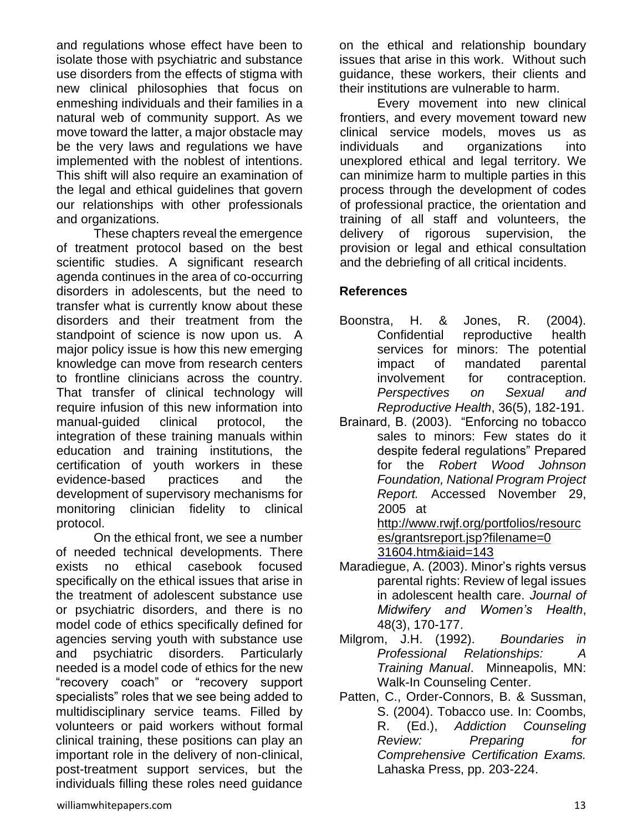and regulations whose effect have been to isolate those with psychiatric and substance use disorders from the effects of stigma with new clinical philosophies that focus on enmeshing individuals and their families in a natural web of community support. As we move toward the latter, a major obstacle may be the very laws and regulations we have implemented with the noblest of intentions. This shift will also require an examination of the legal and ethical guidelines that govern our relationships with other professionals and organizations.

These chapters reveal the emergence of treatment protocol based on the best scientific studies. A significant research agenda continues in the area of co-occurring disorders in adolescents, but the need to transfer what is currently know about these disorders and their treatment from the standpoint of science is now upon us. A major policy issue is how this new emerging knowledge can move from research centers to frontline clinicians across the country. That transfer of clinical technology will require infusion of this new information into manual-guided clinical protocol, the integration of these training manuals within education and training institutions, the certification of youth workers in these evidence-based practices and the development of supervisory mechanisms for monitoring clinician fidelity to clinical protocol.

On the ethical front, we see a number of needed technical developments. There exists no ethical casebook focused specifically on the ethical issues that arise in the treatment of adolescent substance use or psychiatric disorders, and there is no model code of ethics specifically defined for agencies serving youth with substance use and psychiatric disorders. Particularly needed is a model code of ethics for the new "recovery coach" or "recovery support specialists" roles that we see being added to multidisciplinary service teams. Filled by volunteers or paid workers without formal clinical training, these positions can play an important role in the delivery of non-clinical, post-treatment support services, but the individuals filling these roles need guidance

Every movement into new clinical frontiers, and every movement toward new clinical service models, moves us as individuals and organizations into unexplored ethical and legal territory. We can minimize harm to multiple parties in this process through the development of codes of professional practice, the orientation and training of all staff and volunteers, the delivery of rigorous supervision, the provision or legal and ethical consultation and the debriefing of all critical incidents.

# **References**

- Boonstra, H. & Jones, R. (2004). Confidential reproductive health services for minors: The potential impact of mandated parental involvement for contraception. *Perspectives on Sexual and Reproductive Health*, 36(5), 182-191.
- Brainard, B. (2003). "Enforcing no tobacco sales to minors: Few states do it despite federal regulations" Prepared for the *Robert Wood Johnson Foundation, National Program Project Report.* Accessed November 29, 2005 at

[http://www.rwjf.org/portfolios/resourc](http://www.rwjf.org/portfolios/resources/grantsreport.jsp?filename=031604.htm&iaid=143) [es/grantsreport.jsp?filename=0](http://www.rwjf.org/portfolios/resources/grantsreport.jsp?filename=031604.htm&iaid=143)  [31604.htm&iaid=143](http://www.rwjf.org/portfolios/resources/grantsreport.jsp?filename=031604.htm&iaid=143)

- Maradiegue, A. (2003). Minor's rights versus parental rights: Review of legal issues in adolescent health care. *Journal of Midwifery and Women's Health*, 48(3), 170-177.
- Milgrom, J.H. (1992). *Boundaries in Professional Relationships: A Training Manual*. Minneapolis, MN: Walk-In Counseling Center.
- Patten, C., Order-Connors, B. & Sussman, S. (2004). Tobacco use. In: Coombs, R. (Ed.), *Addiction Counseling Review: Preparing for Comprehensive Certification Exams.* Lahaska Press, pp. 203-224.